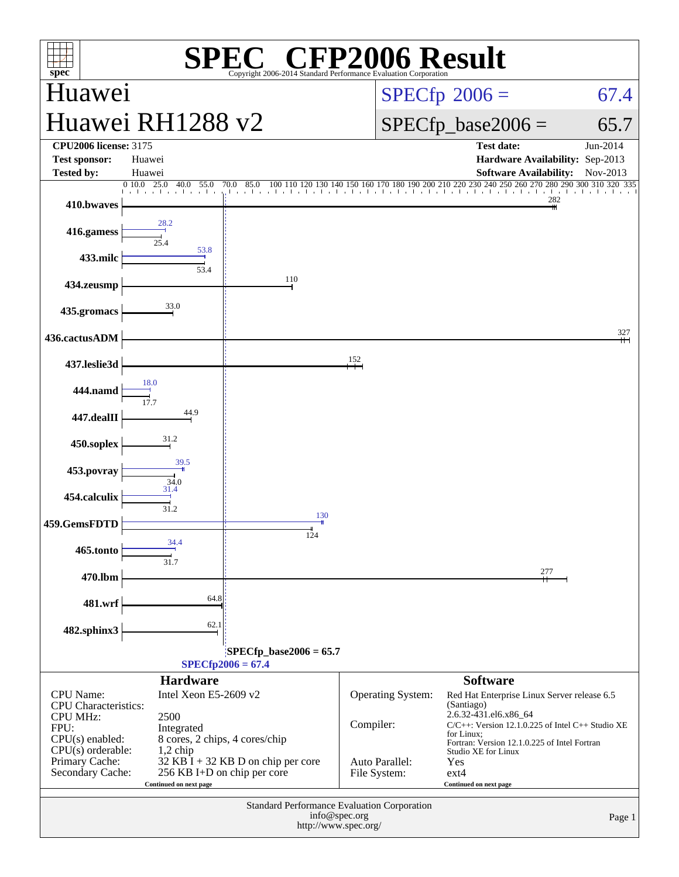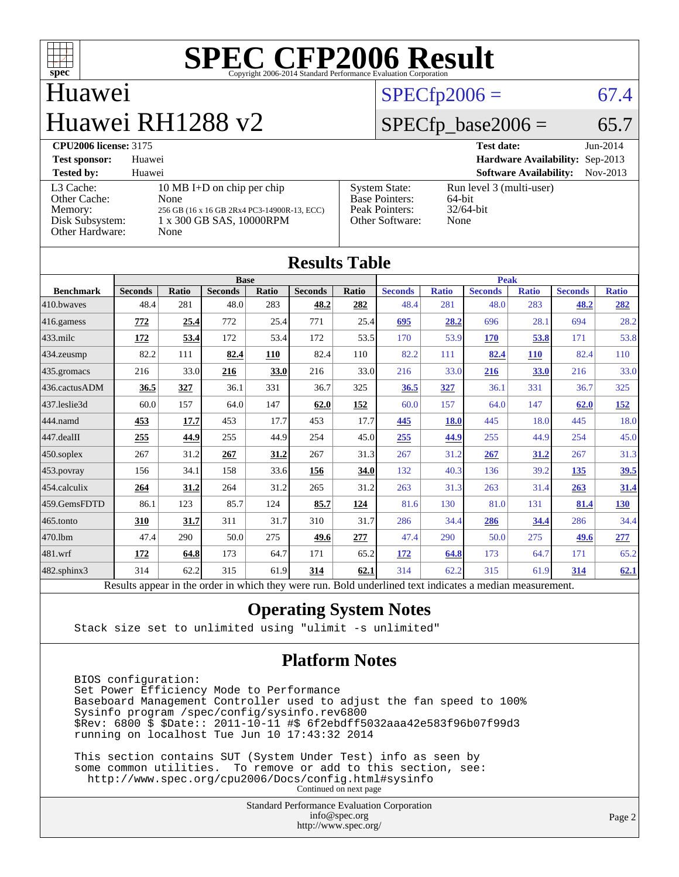

# Huawei Huawei RH1288 v2

## $SPECfp2006 = 67.4$  $SPECfp2006 = 67.4$

## $SPECfp\_base2006 = 65.7$

| <b>CPU2006 license: 3175</b>                                                      |                                                                                                                       | <b>Test date:</b>                                                                  | $Jun-2014$                                                 |            |
|-----------------------------------------------------------------------------------|-----------------------------------------------------------------------------------------------------------------------|------------------------------------------------------------------------------------|------------------------------------------------------------|------------|
| <b>Test sponsor:</b>                                                              | Huawei                                                                                                                |                                                                                    | Hardware Availability: Sep-2013                            |            |
| <b>Tested by:</b>                                                                 | Huawei                                                                                                                |                                                                                    | <b>Software Availability:</b>                              | $Nov-2013$ |
| L3 Cache:<br>Other Cache:<br>Memory:<br>Disk Subsystem:<br><b>Other Hardware:</b> | 10 MB I+D on chip per chip<br>None<br>256 GB (16 x 16 GB 2Rx4 PC3-14900R-13, ECC)<br>1 x 300 GB SAS, 10000RPM<br>None | <b>System State:</b><br><b>Base Pointers:</b><br>Peak Pointers:<br>Other Software: | Run level 3 (multi-user)<br>64-bit<br>$32/64$ -bit<br>None |            |

| <b>Results Table</b>   |                                                                                                          |              |                |       |                |             |                |              |                |              |                |              |
|------------------------|----------------------------------------------------------------------------------------------------------|--------------|----------------|-------|----------------|-------------|----------------|--------------|----------------|--------------|----------------|--------------|
|                        | <b>Base</b>                                                                                              |              |                |       |                | <b>Peak</b> |                |              |                |              |                |              |
| <b>Benchmark</b>       | <b>Seconds</b>                                                                                           | <b>Ratio</b> | <b>Seconds</b> | Ratio | <b>Seconds</b> | Ratio       | <b>Seconds</b> | <b>Ratio</b> | <b>Seconds</b> | <b>Ratio</b> | <b>Seconds</b> | <b>Ratio</b> |
| 410.bwayes             | 48.4                                                                                                     | 281          | 48.0           | 283   | 48.2           | 282         | 48.4           | 281          | 48.0           | 283          | 48.2           | 282          |
| $416$ .gamess          | 772                                                                                                      | 25.4         | 772            | 25.4  | 771            | 25.4        | 695            | 28.2         | 696            | 28.1         | 694            | 28.2         |
| $433$ .milc            | 172                                                                                                      | 53.4         | 172            | 53.4  | 172            | 53.5        | 170            | 53.9         | 170            | 53.8         | 171            | 53.8         |
| $434$ . zeusmp         | 82.2                                                                                                     | 111          | 82.4           | 110   | 82.4           | 110         | 82.2           | 111          | 82.4           | <b>110</b>   | 82.4           | 110          |
| $435.$ gromacs         | 216                                                                                                      | 33.0         | 216            | 33.0  | 216            | 33.0        | 216            | 33.0         | 216            | 33.0         | 216            | 33.0         |
| 436.cactusADM          | 36.5                                                                                                     | 327          | 36.1           | 331   | 36.7           | 325         | 36.5           | 327          | 36.1           | 331          | 36.7           | 325          |
| 437.leslie3d           | 60.0                                                                                                     | 157          | 64.0           | 147   | 62.0           | <u>152</u>  | 60.0           | 157          | 64.0           | 147          | 62.0           | <u>152</u>   |
| 444.namd               | 453                                                                                                      | 17.7         | 453            | 17.7  | 453            | 17.7        | 445            | 18.0         | 445            | 18.0         | 445            | 18.0         |
| $ 447 \text{.}$ dealII | 255                                                                                                      | 44.9         | 255            | 44.9  | 254            | 45.0        | 255            | 44.9         | 255            | 44.9         | 254            | 45.0         |
| $450$ .soplex          | 267                                                                                                      | 31.2         | 267            | 31.2  | 267            | 31.3        | 267            | 31.2         | 267            | 31.2         | 267            | 31.3         |
| $453$ .povray          | 156                                                                                                      | 34.1         | 158            | 33.6  | 156            | 34.0        | 132            | 40.3         | 136            | 39.2         | 135            | 39.5         |
| $ 454$ .calculix       | 264                                                                                                      | 31.2         | 264            | 31.2  | 265            | 31.2        | 263            | 31.3         | 263            | 31.4         | 263            | 31.4         |
| 459.GemsFDTD           | 86.1                                                                                                     | 123          | 85.7           | 124   | 85.7           | 124         | 81.6           | 130          | 81.0           | 131          | 81.4           | <u>130</u>   |
| $465$ .tonto           | 310                                                                                                      | 31.7         | 311            | 31.7  | 310            | 31.7        | 286            | 34.4         | 286            | 34.4         | 286            | 34.4         |
| 470.1bm                | 47.4                                                                                                     | 290          | 50.0           | 275   | 49.6           | 277         | 47.4           | 290          | 50.0           | 275          | 49.6           | 277          |
| $ 481$ .wrf            | 172                                                                                                      | 64.8         | 173            | 64.7  | 171            | 65.2        | 172            | 64.8         | 173            | 64.7         | 171            | 65.2         |
| $482$ .sphinx $3$      | 314                                                                                                      | 62.2         | 315            | 61.9  | 314            | 62.1        | 314            | 62.2         | 315            | 61.9         | 314            | 62.1         |
|                        | Results appear in the order in which they were run. Bold underlined text indicates a median measurement. |              |                |       |                |             |                |              |                |              |                |              |

### **[Operating System Notes](http://www.spec.org/auto/cpu2006/Docs/result-fields.html#OperatingSystemNotes)**

Stack size set to unlimited using "ulimit -s unlimited"

### **[Platform Notes](http://www.spec.org/auto/cpu2006/Docs/result-fields.html#PlatformNotes)**

 BIOS configuration: Set Power Efficiency Mode to Performance Baseboard Management Controller used to adjust the fan speed to 100% Sysinfo program /spec/config/sysinfo.rev6800 \$Rev: 6800 \$ \$Date:: 2011-10-11 #\$ 6f2ebdff5032aaa42e583f96b07f99d3 running on localhost Tue Jun 10 17:43:32 2014

 This section contains SUT (System Under Test) info as seen by some common utilities. To remove or add to this section, see: <http://www.spec.org/cpu2006/Docs/config.html#sysinfo> Continued on next page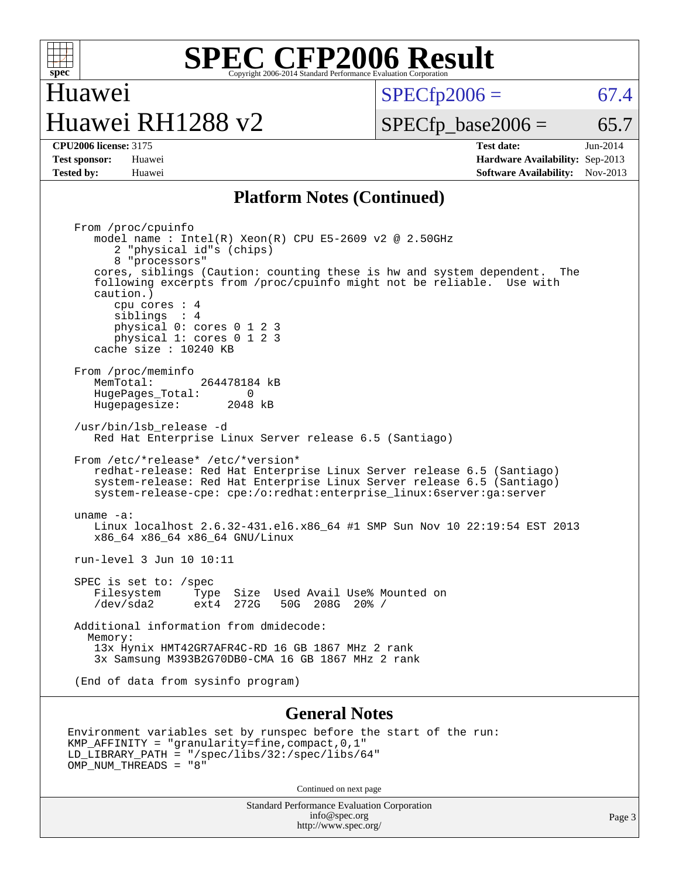

# Huawei Huawei RH1288 v2

 $SPECTp2006 = 67.4$ 

 $SPECTp\_base2006 = 65.7$ 

**[CPU2006 license:](http://www.spec.org/auto/cpu2006/Docs/result-fields.html#CPU2006license)** 3175 **[Test date:](http://www.spec.org/auto/cpu2006/Docs/result-fields.html#Testdate)** Jun-2014 **[Test sponsor:](http://www.spec.org/auto/cpu2006/Docs/result-fields.html#Testsponsor)** Huawei **[Hardware Availability:](http://www.spec.org/auto/cpu2006/Docs/result-fields.html#HardwareAvailability)** Sep-2013 **[Tested by:](http://www.spec.org/auto/cpu2006/Docs/result-fields.html#Testedby)** Huawei **[Software Availability:](http://www.spec.org/auto/cpu2006/Docs/result-fields.html#SoftwareAvailability)** Nov-2013

### **[Platform Notes \(Continued\)](http://www.spec.org/auto/cpu2006/Docs/result-fields.html#PlatformNotes)**

 From /proc/cpuinfo model name : Intel(R) Xeon(R) CPU E5-2609 v2 @ 2.50GHz 2 "physical id"s (chips) 8 "processors" cores, siblings (Caution: counting these is hw and system dependent. The following excerpts from /proc/cpuinfo might not be reliable. Use with caution.) cpu cores : 4 siblings : 4 physical 0: cores 0 1 2 3 physical 1: cores 0 1 2 3 cache size : 10240 KB From /proc/meminfo MemTotal: 264478184 kB HugePages\_Total: 0 Hugepagesize: 2048 kB /usr/bin/lsb\_release -d Red Hat Enterprise Linux Server release 6.5 (Santiago) From /etc/\*release\* /etc/\*version\* redhat-release: Red Hat Enterprise Linux Server release 6.5 (Santiago) system-release: Red Hat Enterprise Linux Server release 6.5 (Santiago) system-release-cpe: cpe:/o:redhat:enterprise\_linux:6server:ga:server uname -a: Linux localhost 2.6.32-431.el6.x86\_64 #1 SMP Sun Nov 10 22:19:54 EST 2013 x86\_64 x86\_64 x86\_64 GNU/Linux run-level 3 Jun 10 10:11 SPEC is set to: /spec<br>Filesystem Type Type Size Used Avail Use% Mounted on /dev/sda2 ext4 272G 50G 208G 20% / Additional information from dmidecode: Memory: 13x Hynix HMT42GR7AFR4C-RD 16 GB 1867 MHz 2 rank 3x Samsung M393B2G70DB0-CMA 16 GB 1867 MHz 2 rank (End of data from sysinfo program)

### **[General Notes](http://www.spec.org/auto/cpu2006/Docs/result-fields.html#GeneralNotes)**

```
Environment variables set by runspec before the start of the run:
KMP_AFFINITY = "granularity=fine,compact,0,1"
LD_LIBRARY_PATH = "/spec/libs/32:/spec/libs/64"
OMP_NUM_THREADS = "8"
```
Continued on next page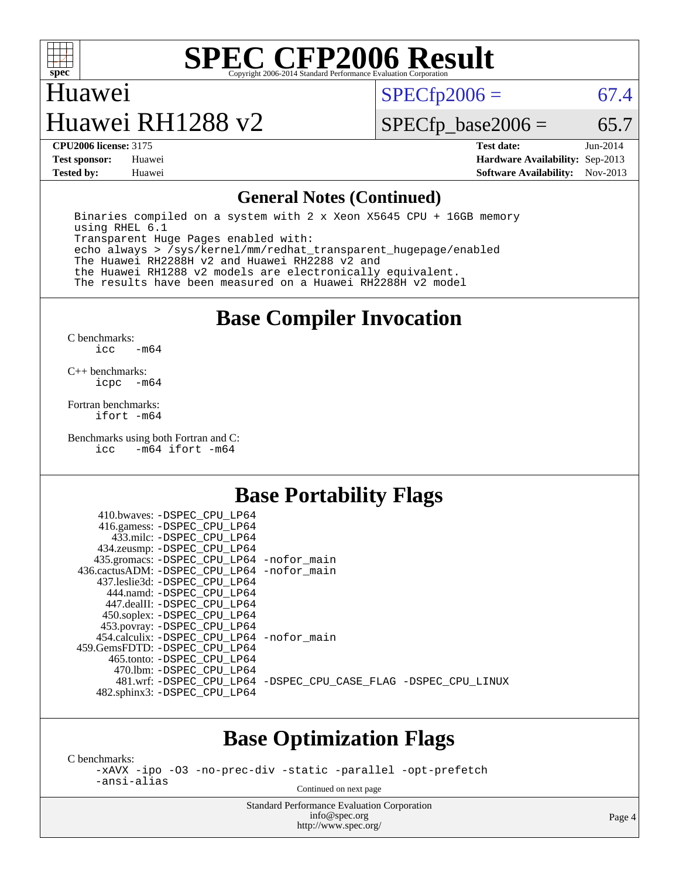

## Huawei

# Huawei RH1288 v2

 $SPECTp2006 = 67.4$ 

 $SPECTp\_base2006 = 65.7$ 

**[CPU2006 license:](http://www.spec.org/auto/cpu2006/Docs/result-fields.html#CPU2006license)** 3175 **[Test date:](http://www.spec.org/auto/cpu2006/Docs/result-fields.html#Testdate)** Jun-2014 **[Test sponsor:](http://www.spec.org/auto/cpu2006/Docs/result-fields.html#Testsponsor)** Huawei **[Hardware Availability:](http://www.spec.org/auto/cpu2006/Docs/result-fields.html#HardwareAvailability)** Sep-2013 **[Tested by:](http://www.spec.org/auto/cpu2006/Docs/result-fields.html#Testedby)** Huawei **[Software Availability:](http://www.spec.org/auto/cpu2006/Docs/result-fields.html#SoftwareAvailability)** Nov-2013

### **[General Notes \(Continued\)](http://www.spec.org/auto/cpu2006/Docs/result-fields.html#GeneralNotes)**

 Binaries compiled on a system with 2 x Xeon X5645 CPU + 16GB memory using RHEL 6.1 Transparent Huge Pages enabled with: echo always > /sys/kernel/mm/redhat\_transparent\_hugepage/enabled The Huawei RH2288H v2 and Huawei RH2288 v2 and the Huawei RH1288 v2 models are electronically equivalent. The results have been measured on a Huawei RH2288H v2 model

## **[Base Compiler Invocation](http://www.spec.org/auto/cpu2006/Docs/result-fields.html#BaseCompilerInvocation)**

[C benchmarks](http://www.spec.org/auto/cpu2006/Docs/result-fields.html#Cbenchmarks): [icc -m64](http://www.spec.org/cpu2006/results/res2014q3/cpu2006-20140612-29886.flags.html#user_CCbase_intel_icc_64bit_0b7121f5ab7cfabee23d88897260401c)

[C++ benchmarks:](http://www.spec.org/auto/cpu2006/Docs/result-fields.html#CXXbenchmarks) [icpc -m64](http://www.spec.org/cpu2006/results/res2014q3/cpu2006-20140612-29886.flags.html#user_CXXbase_intel_icpc_64bit_bedb90c1146cab66620883ef4f41a67e)

[Fortran benchmarks](http://www.spec.org/auto/cpu2006/Docs/result-fields.html#Fortranbenchmarks): [ifort -m64](http://www.spec.org/cpu2006/results/res2014q3/cpu2006-20140612-29886.flags.html#user_FCbase_intel_ifort_64bit_ee9d0fb25645d0210d97eb0527dcc06e)

[Benchmarks using both Fortran and C](http://www.spec.org/auto/cpu2006/Docs/result-fields.html#BenchmarksusingbothFortranandC): [icc -m64](http://www.spec.org/cpu2006/results/res2014q3/cpu2006-20140612-29886.flags.html#user_CC_FCbase_intel_icc_64bit_0b7121f5ab7cfabee23d88897260401c) [ifort -m64](http://www.spec.org/cpu2006/results/res2014q3/cpu2006-20140612-29886.flags.html#user_CC_FCbase_intel_ifort_64bit_ee9d0fb25645d0210d97eb0527dcc06e)

### **[Base Portability Flags](http://www.spec.org/auto/cpu2006/Docs/result-fields.html#BasePortabilityFlags)**

| 410.bwaves: -DSPEC CPU LP64<br>416.gamess: -DSPEC_CPU_LP64 |                                                                |
|------------------------------------------------------------|----------------------------------------------------------------|
| 433.milc: -DSPEC CPU LP64                                  |                                                                |
| 434.zeusmp: -DSPEC_CPU_LP64                                |                                                                |
| 435.gromacs: -DSPEC_CPU_LP64 -nofor_main                   |                                                                |
| 436.cactusADM: - DSPEC CPU LP64 - nofor main               |                                                                |
| 437.leslie3d: -DSPEC CPU LP64                              |                                                                |
| 444.namd: -DSPEC CPU LP64                                  |                                                                |
| 447.dealII: -DSPEC CPU LP64                                |                                                                |
| 450.soplex: -DSPEC_CPU_LP64                                |                                                                |
| 453.povray: -DSPEC_CPU_LP64                                |                                                                |
| 454.calculix: - DSPEC CPU LP64 - nofor main                |                                                                |
| 459. GemsFDTD: - DSPEC CPU LP64                            |                                                                |
| 465.tonto: - DSPEC CPU LP64                                |                                                                |
| 470.1bm: - DSPEC CPU LP64                                  |                                                                |
|                                                            | 481.wrf: -DSPEC_CPU_LP64 -DSPEC_CPU_CASE_FLAG -DSPEC_CPU_LINUX |
| 482.sphinx3: -DSPEC_CPU_LP64                               |                                                                |
|                                                            |                                                                |

## **[Base Optimization Flags](http://www.spec.org/auto/cpu2006/Docs/result-fields.html#BaseOptimizationFlags)**

[C benchmarks](http://www.spec.org/auto/cpu2006/Docs/result-fields.html#Cbenchmarks):

[-xAVX](http://www.spec.org/cpu2006/results/res2014q3/cpu2006-20140612-29886.flags.html#user_CCbase_f-xAVX) [-ipo](http://www.spec.org/cpu2006/results/res2014q3/cpu2006-20140612-29886.flags.html#user_CCbase_f-ipo) [-O3](http://www.spec.org/cpu2006/results/res2014q3/cpu2006-20140612-29886.flags.html#user_CCbase_f-O3) [-no-prec-div](http://www.spec.org/cpu2006/results/res2014q3/cpu2006-20140612-29886.flags.html#user_CCbase_f-no-prec-div) [-static](http://www.spec.org/cpu2006/results/res2014q3/cpu2006-20140612-29886.flags.html#user_CCbase_f-static) [-parallel](http://www.spec.org/cpu2006/results/res2014q3/cpu2006-20140612-29886.flags.html#user_CCbase_f-parallel) [-opt-prefetch](http://www.spec.org/cpu2006/results/res2014q3/cpu2006-20140612-29886.flags.html#user_CCbase_f-opt-prefetch) [-ansi-alias](http://www.spec.org/cpu2006/results/res2014q3/cpu2006-20140612-29886.flags.html#user_CCbase_f-ansi-alias)

Continued on next page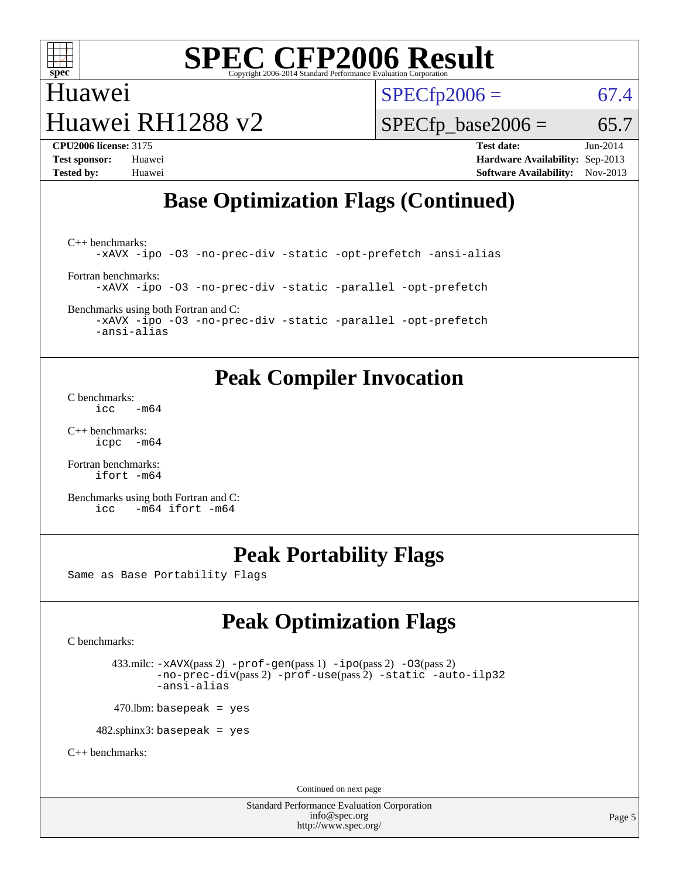

# Huawei Huawei RH1288 v2

 $SPECTp2006 = 67.4$ 

 $SPECTp\_base2006 = 65.7$ 

**[CPU2006 license:](http://www.spec.org/auto/cpu2006/Docs/result-fields.html#CPU2006license)** 3175 **[Test date:](http://www.spec.org/auto/cpu2006/Docs/result-fields.html#Testdate)** Jun-2014 **[Test sponsor:](http://www.spec.org/auto/cpu2006/Docs/result-fields.html#Testsponsor)** Huawei **[Hardware Availability:](http://www.spec.org/auto/cpu2006/Docs/result-fields.html#HardwareAvailability)** Sep-2013 **[Tested by:](http://www.spec.org/auto/cpu2006/Docs/result-fields.html#Testedby)** Huawei **[Software Availability:](http://www.spec.org/auto/cpu2006/Docs/result-fields.html#SoftwareAvailability)** Nov-2013

# **[Base Optimization Flags \(Continued\)](http://www.spec.org/auto/cpu2006/Docs/result-fields.html#BaseOptimizationFlags)**

[C++ benchmarks:](http://www.spec.org/auto/cpu2006/Docs/result-fields.html#CXXbenchmarks) [-xAVX](http://www.spec.org/cpu2006/results/res2014q3/cpu2006-20140612-29886.flags.html#user_CXXbase_f-xAVX) [-ipo](http://www.spec.org/cpu2006/results/res2014q3/cpu2006-20140612-29886.flags.html#user_CXXbase_f-ipo) [-O3](http://www.spec.org/cpu2006/results/res2014q3/cpu2006-20140612-29886.flags.html#user_CXXbase_f-O3) [-no-prec-div](http://www.spec.org/cpu2006/results/res2014q3/cpu2006-20140612-29886.flags.html#user_CXXbase_f-no-prec-div) [-static](http://www.spec.org/cpu2006/results/res2014q3/cpu2006-20140612-29886.flags.html#user_CXXbase_f-static) [-opt-prefetch](http://www.spec.org/cpu2006/results/res2014q3/cpu2006-20140612-29886.flags.html#user_CXXbase_f-opt-prefetch) [-ansi-alias](http://www.spec.org/cpu2006/results/res2014q3/cpu2006-20140612-29886.flags.html#user_CXXbase_f-ansi-alias) [Fortran benchmarks](http://www.spec.org/auto/cpu2006/Docs/result-fields.html#Fortranbenchmarks):

[-xAVX](http://www.spec.org/cpu2006/results/res2014q3/cpu2006-20140612-29886.flags.html#user_FCbase_f-xAVX) [-ipo](http://www.spec.org/cpu2006/results/res2014q3/cpu2006-20140612-29886.flags.html#user_FCbase_f-ipo) [-O3](http://www.spec.org/cpu2006/results/res2014q3/cpu2006-20140612-29886.flags.html#user_FCbase_f-O3) [-no-prec-div](http://www.spec.org/cpu2006/results/res2014q3/cpu2006-20140612-29886.flags.html#user_FCbase_f-no-prec-div) [-static](http://www.spec.org/cpu2006/results/res2014q3/cpu2006-20140612-29886.flags.html#user_FCbase_f-static) [-parallel](http://www.spec.org/cpu2006/results/res2014q3/cpu2006-20140612-29886.flags.html#user_FCbase_f-parallel) [-opt-prefetch](http://www.spec.org/cpu2006/results/res2014q3/cpu2006-20140612-29886.flags.html#user_FCbase_f-opt-prefetch)

[Benchmarks using both Fortran and C](http://www.spec.org/auto/cpu2006/Docs/result-fields.html#BenchmarksusingbothFortranandC):

[-xAVX](http://www.spec.org/cpu2006/results/res2014q3/cpu2006-20140612-29886.flags.html#user_CC_FCbase_f-xAVX) [-ipo](http://www.spec.org/cpu2006/results/res2014q3/cpu2006-20140612-29886.flags.html#user_CC_FCbase_f-ipo) [-O3](http://www.spec.org/cpu2006/results/res2014q3/cpu2006-20140612-29886.flags.html#user_CC_FCbase_f-O3) [-no-prec-div](http://www.spec.org/cpu2006/results/res2014q3/cpu2006-20140612-29886.flags.html#user_CC_FCbase_f-no-prec-div) [-static](http://www.spec.org/cpu2006/results/res2014q3/cpu2006-20140612-29886.flags.html#user_CC_FCbase_f-static) [-parallel](http://www.spec.org/cpu2006/results/res2014q3/cpu2006-20140612-29886.flags.html#user_CC_FCbase_f-parallel) [-opt-prefetch](http://www.spec.org/cpu2006/results/res2014q3/cpu2006-20140612-29886.flags.html#user_CC_FCbase_f-opt-prefetch) [-ansi-alias](http://www.spec.org/cpu2006/results/res2014q3/cpu2006-20140612-29886.flags.html#user_CC_FCbase_f-ansi-alias)

## **[Peak Compiler Invocation](http://www.spec.org/auto/cpu2006/Docs/result-fields.html#PeakCompilerInvocation)**

[C benchmarks](http://www.spec.org/auto/cpu2006/Docs/result-fields.html#Cbenchmarks): [icc -m64](http://www.spec.org/cpu2006/results/res2014q3/cpu2006-20140612-29886.flags.html#user_CCpeak_intel_icc_64bit_0b7121f5ab7cfabee23d88897260401c)

[C++ benchmarks:](http://www.spec.org/auto/cpu2006/Docs/result-fields.html#CXXbenchmarks) [icpc -m64](http://www.spec.org/cpu2006/results/res2014q3/cpu2006-20140612-29886.flags.html#user_CXXpeak_intel_icpc_64bit_bedb90c1146cab66620883ef4f41a67e)

[Fortran benchmarks](http://www.spec.org/auto/cpu2006/Docs/result-fields.html#Fortranbenchmarks): [ifort -m64](http://www.spec.org/cpu2006/results/res2014q3/cpu2006-20140612-29886.flags.html#user_FCpeak_intel_ifort_64bit_ee9d0fb25645d0210d97eb0527dcc06e)

[Benchmarks using both Fortran and C](http://www.spec.org/auto/cpu2006/Docs/result-fields.html#BenchmarksusingbothFortranandC): [icc -m64](http://www.spec.org/cpu2006/results/res2014q3/cpu2006-20140612-29886.flags.html#user_CC_FCpeak_intel_icc_64bit_0b7121f5ab7cfabee23d88897260401c) [ifort -m64](http://www.spec.org/cpu2006/results/res2014q3/cpu2006-20140612-29886.flags.html#user_CC_FCpeak_intel_ifort_64bit_ee9d0fb25645d0210d97eb0527dcc06e)

# **[Peak Portability Flags](http://www.spec.org/auto/cpu2006/Docs/result-fields.html#PeakPortabilityFlags)**

Same as Base Portability Flags

# **[Peak Optimization Flags](http://www.spec.org/auto/cpu2006/Docs/result-fields.html#PeakOptimizationFlags)**

[C benchmarks](http://www.spec.org/auto/cpu2006/Docs/result-fields.html#Cbenchmarks):

 433.milc: [-xAVX](http://www.spec.org/cpu2006/results/res2014q3/cpu2006-20140612-29886.flags.html#user_peakPASS2_CFLAGSPASS2_LDFLAGS433_milc_f-xAVX)(pass 2) [-prof-gen](http://www.spec.org/cpu2006/results/res2014q3/cpu2006-20140612-29886.flags.html#user_peakPASS1_CFLAGSPASS1_LDFLAGS433_milc_prof_gen_e43856698f6ca7b7e442dfd80e94a8fc)(pass 1) [-ipo](http://www.spec.org/cpu2006/results/res2014q3/cpu2006-20140612-29886.flags.html#user_peakPASS2_CFLAGSPASS2_LDFLAGS433_milc_f-ipo)(pass 2) [-O3](http://www.spec.org/cpu2006/results/res2014q3/cpu2006-20140612-29886.flags.html#user_peakPASS2_CFLAGSPASS2_LDFLAGS433_milc_f-O3)(pass 2) [-no-prec-div](http://www.spec.org/cpu2006/results/res2014q3/cpu2006-20140612-29886.flags.html#user_peakPASS2_CFLAGSPASS2_LDFLAGS433_milc_f-no-prec-div)(pass 2) [-prof-use](http://www.spec.org/cpu2006/results/res2014q3/cpu2006-20140612-29886.flags.html#user_peakPASS2_CFLAGSPASS2_LDFLAGS433_milc_prof_use_bccf7792157ff70d64e32fe3e1250b55)(pass 2) [-static](http://www.spec.org/cpu2006/results/res2014q3/cpu2006-20140612-29886.flags.html#user_peakOPTIMIZE433_milc_f-static) [-auto-ilp32](http://www.spec.org/cpu2006/results/res2014q3/cpu2006-20140612-29886.flags.html#user_peakCOPTIMIZE433_milc_f-auto-ilp32) [-ansi-alias](http://www.spec.org/cpu2006/results/res2014q3/cpu2006-20140612-29886.flags.html#user_peakCOPTIMIZE433_milc_f-ansi-alias)

 $470.$ lbm: basepeak = yes

482.sphinx3: basepeak = yes

[C++ benchmarks:](http://www.spec.org/auto/cpu2006/Docs/result-fields.html#CXXbenchmarks)

Continued on next page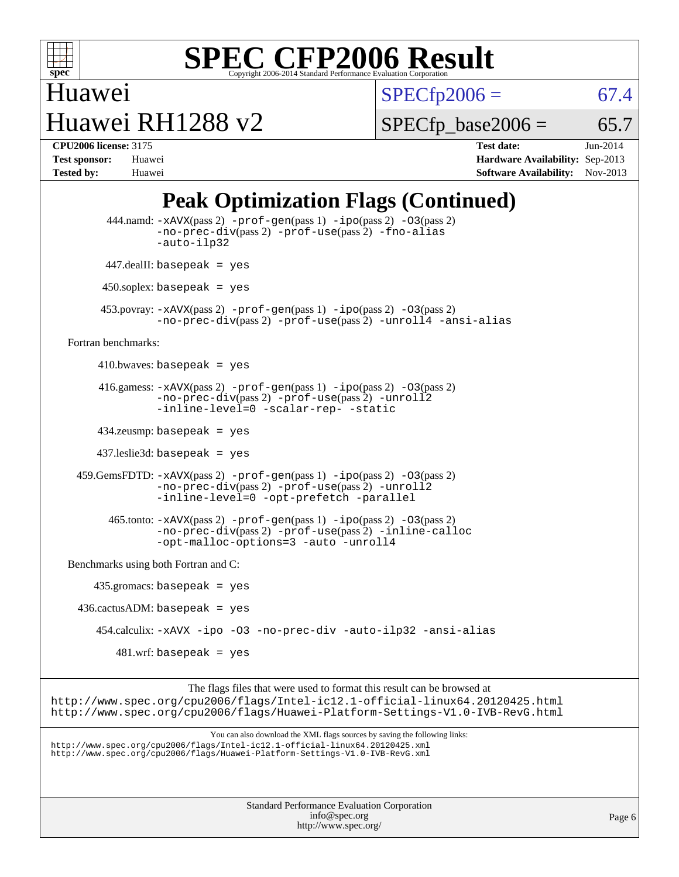

Huawei Huawei RH1288 v2  $SPECTp2006 = 67.4$ 

 $SPECTp\_base2006 = 65.7$ 

**[CPU2006 license:](http://www.spec.org/auto/cpu2006/Docs/result-fields.html#CPU2006license)** 3175 **[Test date:](http://www.spec.org/auto/cpu2006/Docs/result-fields.html#Testdate)** Jun-2014 **[Test sponsor:](http://www.spec.org/auto/cpu2006/Docs/result-fields.html#Testsponsor)** Huawei **[Hardware Availability:](http://www.spec.org/auto/cpu2006/Docs/result-fields.html#HardwareAvailability)** Sep-2013 **[Tested by:](http://www.spec.org/auto/cpu2006/Docs/result-fields.html#Testedby)** Huawei **[Software Availability:](http://www.spec.org/auto/cpu2006/Docs/result-fields.html#SoftwareAvailability)** Nov-2013

# **[Peak Optimization Flags \(Continued\)](http://www.spec.org/auto/cpu2006/Docs/result-fields.html#PeakOptimizationFlags)**

 444.namd: [-xAVX](http://www.spec.org/cpu2006/results/res2014q3/cpu2006-20140612-29886.flags.html#user_peakPASS2_CXXFLAGSPASS2_LDFLAGS444_namd_f-xAVX)(pass 2) [-prof-gen](http://www.spec.org/cpu2006/results/res2014q3/cpu2006-20140612-29886.flags.html#user_peakPASS1_CXXFLAGSPASS1_LDFLAGS444_namd_prof_gen_e43856698f6ca7b7e442dfd80e94a8fc)(pass 1) [-ipo](http://www.spec.org/cpu2006/results/res2014q3/cpu2006-20140612-29886.flags.html#user_peakPASS2_CXXFLAGSPASS2_LDFLAGS444_namd_f-ipo)(pass 2) [-O3](http://www.spec.org/cpu2006/results/res2014q3/cpu2006-20140612-29886.flags.html#user_peakPASS2_CXXFLAGSPASS2_LDFLAGS444_namd_f-O3)(pass 2) [-no-prec-div](http://www.spec.org/cpu2006/results/res2014q3/cpu2006-20140612-29886.flags.html#user_peakPASS2_CXXFLAGSPASS2_LDFLAGS444_namd_f-no-prec-div)(pass 2) [-prof-use](http://www.spec.org/cpu2006/results/res2014q3/cpu2006-20140612-29886.flags.html#user_peakPASS2_CXXFLAGSPASS2_LDFLAGS444_namd_prof_use_bccf7792157ff70d64e32fe3e1250b55)(pass 2) [-fno-alias](http://www.spec.org/cpu2006/results/res2014q3/cpu2006-20140612-29886.flags.html#user_peakCXXOPTIMIZEOPTIMIZE444_namd_f-no-alias_694e77f6c5a51e658e82ccff53a9e63a) [-auto-ilp32](http://www.spec.org/cpu2006/results/res2014q3/cpu2006-20140612-29886.flags.html#user_peakCXXOPTIMIZE444_namd_f-auto-ilp32) 447.dealII: basepeak = yes 450.soplex: basepeak = yes 453.povray: [-xAVX](http://www.spec.org/cpu2006/results/res2014q3/cpu2006-20140612-29886.flags.html#user_peakPASS2_CXXFLAGSPASS2_LDFLAGS453_povray_f-xAVX)(pass 2) [-prof-gen](http://www.spec.org/cpu2006/results/res2014q3/cpu2006-20140612-29886.flags.html#user_peakPASS1_CXXFLAGSPASS1_LDFLAGS453_povray_prof_gen_e43856698f6ca7b7e442dfd80e94a8fc)(pass 1) [-ipo](http://www.spec.org/cpu2006/results/res2014q3/cpu2006-20140612-29886.flags.html#user_peakPASS2_CXXFLAGSPASS2_LDFLAGS453_povray_f-ipo)(pass 2) [-O3](http://www.spec.org/cpu2006/results/res2014q3/cpu2006-20140612-29886.flags.html#user_peakPASS2_CXXFLAGSPASS2_LDFLAGS453_povray_f-O3)(pass 2) [-no-prec-div](http://www.spec.org/cpu2006/results/res2014q3/cpu2006-20140612-29886.flags.html#user_peakPASS2_CXXFLAGSPASS2_LDFLAGS453_povray_f-no-prec-div)(pass 2) [-prof-use](http://www.spec.org/cpu2006/results/res2014q3/cpu2006-20140612-29886.flags.html#user_peakPASS2_CXXFLAGSPASS2_LDFLAGS453_povray_prof_use_bccf7792157ff70d64e32fe3e1250b55)(pass 2) [-unroll4](http://www.spec.org/cpu2006/results/res2014q3/cpu2006-20140612-29886.flags.html#user_peakCXXOPTIMIZE453_povray_f-unroll_4e5e4ed65b7fd20bdcd365bec371b81f) [-ansi-alias](http://www.spec.org/cpu2006/results/res2014q3/cpu2006-20140612-29886.flags.html#user_peakCXXOPTIMIZE453_povray_f-ansi-alias) [Fortran benchmarks](http://www.spec.org/auto/cpu2006/Docs/result-fields.html#Fortranbenchmarks): 410.bwaves: basepeak = yes 416.gamess:  $-x$ AVX(pass 2)  $-p$ rof-gen(pass 1)  $-i$ po(pass 2)  $-$ O3(pass 2) [-no-prec-div](http://www.spec.org/cpu2006/results/res2014q3/cpu2006-20140612-29886.flags.html#user_peakPASS2_FFLAGSPASS2_LDFLAGS416_gamess_f-no-prec-div)(pass 2) [-prof-use](http://www.spec.org/cpu2006/results/res2014q3/cpu2006-20140612-29886.flags.html#user_peakPASS2_FFLAGSPASS2_LDFLAGS416_gamess_prof_use_bccf7792157ff70d64e32fe3e1250b55)(pass 2) [-unroll2](http://www.spec.org/cpu2006/results/res2014q3/cpu2006-20140612-29886.flags.html#user_peakOPTIMIZE416_gamess_f-unroll_784dae83bebfb236979b41d2422d7ec2) [-inline-level=0](http://www.spec.org/cpu2006/results/res2014q3/cpu2006-20140612-29886.flags.html#user_peakOPTIMIZE416_gamess_f-inline-level_318d07a09274ad25e8d15dbfaa68ba50) [-scalar-rep-](http://www.spec.org/cpu2006/results/res2014q3/cpu2006-20140612-29886.flags.html#user_peakOPTIMIZE416_gamess_f-disablescalarrep_abbcad04450fb118e4809c81d83c8a1d) [-static](http://www.spec.org/cpu2006/results/res2014q3/cpu2006-20140612-29886.flags.html#user_peakOPTIMIZE416_gamess_f-static) 434.zeusmp: basepeak = yes 437.leslie3d: basepeak = yes 459.GemsFDTD: [-xAVX](http://www.spec.org/cpu2006/results/res2014q3/cpu2006-20140612-29886.flags.html#user_peakPASS2_FFLAGSPASS2_LDFLAGS459_GemsFDTD_f-xAVX)(pass 2) [-prof-gen](http://www.spec.org/cpu2006/results/res2014q3/cpu2006-20140612-29886.flags.html#user_peakPASS1_FFLAGSPASS1_LDFLAGS459_GemsFDTD_prof_gen_e43856698f6ca7b7e442dfd80e94a8fc)(pass 1) [-ipo](http://www.spec.org/cpu2006/results/res2014q3/cpu2006-20140612-29886.flags.html#user_peakPASS2_FFLAGSPASS2_LDFLAGS459_GemsFDTD_f-ipo)(pass 2) [-O3](http://www.spec.org/cpu2006/results/res2014q3/cpu2006-20140612-29886.flags.html#user_peakPASS2_FFLAGSPASS2_LDFLAGS459_GemsFDTD_f-O3)(pass 2) [-no-prec-div](http://www.spec.org/cpu2006/results/res2014q3/cpu2006-20140612-29886.flags.html#user_peakPASS2_FFLAGSPASS2_LDFLAGS459_GemsFDTD_f-no-prec-div)(pass 2) [-prof-use](http://www.spec.org/cpu2006/results/res2014q3/cpu2006-20140612-29886.flags.html#user_peakPASS2_FFLAGSPASS2_LDFLAGS459_GemsFDTD_prof_use_bccf7792157ff70d64e32fe3e1250b55)(pass 2) [-unroll2](http://www.spec.org/cpu2006/results/res2014q3/cpu2006-20140612-29886.flags.html#user_peakOPTIMIZE459_GemsFDTD_f-unroll_784dae83bebfb236979b41d2422d7ec2) [-inline-level=0](http://www.spec.org/cpu2006/results/res2014q3/cpu2006-20140612-29886.flags.html#user_peakOPTIMIZE459_GemsFDTD_f-inline-level_318d07a09274ad25e8d15dbfaa68ba50) [-opt-prefetch](http://www.spec.org/cpu2006/results/res2014q3/cpu2006-20140612-29886.flags.html#user_peakOPTIMIZE459_GemsFDTD_f-opt-prefetch) [-parallel](http://www.spec.org/cpu2006/results/res2014q3/cpu2006-20140612-29886.flags.html#user_peakOPTIMIZE459_GemsFDTD_f-parallel)  $465$ .tonto:  $-x$ AVX(pass 2)  $-p$ rof-gen(pass 1)  $-p$ o(pass 2)  $-03$ (pass 2) [-no-prec-div](http://www.spec.org/cpu2006/results/res2014q3/cpu2006-20140612-29886.flags.html#user_peakPASS2_FFLAGSPASS2_LDFLAGS465_tonto_f-no-prec-div)(pass 2) [-prof-use](http://www.spec.org/cpu2006/results/res2014q3/cpu2006-20140612-29886.flags.html#user_peakPASS2_FFLAGSPASS2_LDFLAGS465_tonto_prof_use_bccf7792157ff70d64e32fe3e1250b55)(pass 2) [-inline-calloc](http://www.spec.org/cpu2006/results/res2014q3/cpu2006-20140612-29886.flags.html#user_peakOPTIMIZE465_tonto_f-inline-calloc) [-opt-malloc-options=3](http://www.spec.org/cpu2006/results/res2014q3/cpu2006-20140612-29886.flags.html#user_peakOPTIMIZE465_tonto_f-opt-malloc-options_13ab9b803cf986b4ee62f0a5998c2238) [-auto](http://www.spec.org/cpu2006/results/res2014q3/cpu2006-20140612-29886.flags.html#user_peakOPTIMIZE465_tonto_f-auto) [-unroll4](http://www.spec.org/cpu2006/results/res2014q3/cpu2006-20140612-29886.flags.html#user_peakOPTIMIZE465_tonto_f-unroll_4e5e4ed65b7fd20bdcd365bec371b81f) [Benchmarks using both Fortran and C](http://www.spec.org/auto/cpu2006/Docs/result-fields.html#BenchmarksusingbothFortranandC): 435.gromacs: basepeak = yes 436.cactusADM: basepeak = yes 454.calculix: [-xAVX](http://www.spec.org/cpu2006/results/res2014q3/cpu2006-20140612-29886.flags.html#user_peakOPTIMIZE454_calculix_f-xAVX) [-ipo](http://www.spec.org/cpu2006/results/res2014q3/cpu2006-20140612-29886.flags.html#user_peakOPTIMIZE454_calculix_f-ipo) [-O3](http://www.spec.org/cpu2006/results/res2014q3/cpu2006-20140612-29886.flags.html#user_peakOPTIMIZE454_calculix_f-O3) [-no-prec-div](http://www.spec.org/cpu2006/results/res2014q3/cpu2006-20140612-29886.flags.html#user_peakOPTIMIZE454_calculix_f-no-prec-div) [-auto-ilp32](http://www.spec.org/cpu2006/results/res2014q3/cpu2006-20140612-29886.flags.html#user_peakCOPTIMIZE454_calculix_f-auto-ilp32) [-ansi-alias](http://www.spec.org/cpu2006/results/res2014q3/cpu2006-20140612-29886.flags.html#user_peakCOPTIMIZE454_calculix_f-ansi-alias)  $481.$ wrf: basepeak = yes The flags files that were used to format this result can be browsed at <http://www.spec.org/cpu2006/flags/Intel-ic12.1-official-linux64.20120425.html> <http://www.spec.org/cpu2006/flags/Huawei-Platform-Settings-V1.0-IVB-RevG.html> You can also download the XML flags sources by saving the following links: <http://www.spec.org/cpu2006/flags/Intel-ic12.1-official-linux64.20120425.xml> <http://www.spec.org/cpu2006/flags/Huawei-Platform-Settings-V1.0-IVB-RevG.xml>